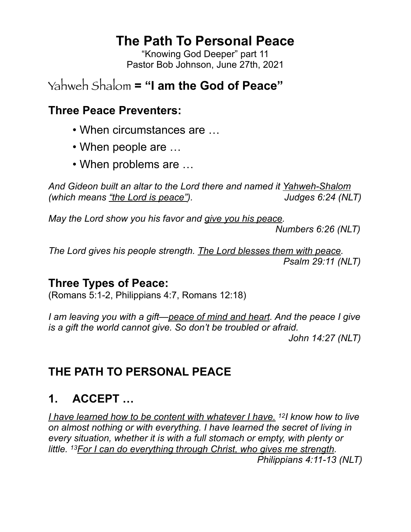# **The Path To Personal Peace**

"Knowing God Deeper" part 11 Pastor Bob Johnson, June 27th, 2021

# Yahweh Shalom **= "I am the God of Peace"**

#### **Three Peace Preventers:**

- When circumstances are …
- When people are ...
- When problems are …

*And Gideon built an altar to the Lord there and named it Yahweh-Shalom (which means "the Lord is peace"). Judges 6:24 (NLT)*

*May the Lord show you his favor and give you his peace.* 

 *Numbers 6:26 (NLT)*

*The Lord gives his people strength. The Lord blesses them with peace. Psalm 29:11 (NLT)*

#### **Three Types of Peace:**

(Romans 5:1-2, Philippians 4:7, Romans 12:18)

*I am leaving you with a gift—peace of mind and heart. And the peace I give is a gift the world cannot give. So don't be troubled or afraid.* 

 *John 14:27 (NLT)*

## **THE PATH TO PERSONAL PEACE**

## **1. ACCEPT …**

*I have learned how to be content with whatever I have. 12I know how to live on almost nothing or with everything. I have learned the secret of living in every situation, whether it is with a full stomach or empty, with plenty or little. 13For I can do everything through Christ, who gives me strength. Philippians 4:11-13 (NLT)*